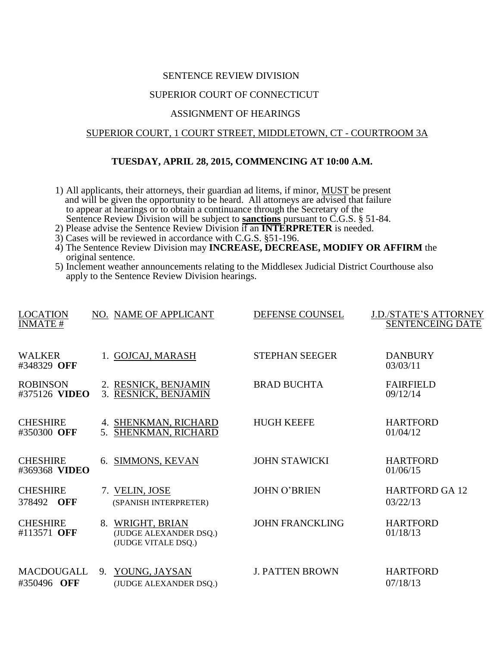#### SENTENCE REVIEW DIVISION

## SUPERIOR COURT OF CONNECTICUT

# ASSIGNMENT OF HEARINGS

#### SUPERIOR COURT, 1 COURT STREET, MIDDLETOWN, CT - COURTROOM 3A

### **TUESDAY, APRIL 28, 2015, COMMENCING AT 10:00 A.M.**

- 1) All applicants, their attorneys, their guardian ad litems, if minor, MUST be present and will be given the opportunity to be heard. All attorneys are advised that failure to appear at hearings or to obtain a continuance through the Secretary of the Sentence Review Division will be subject to **sanctions** pursuant to C.G.S. § 51-84.
- 2) Please advise the Sentence Review Division if an **INTERPRETER** is needed.
- 3) Cases will be reviewed in accordance with C.G.S. §51-196.
- 4) The Sentence Review Division may **INCREASE, DECREASE, MODIFY OR AFFIRM** the original sentence.
- 5) Inclement weather announcements relating to the Middlesex Judicial District Courthouse also apply to the Sentence Review Division hearings.

| <b>LOCATION</b><br><b>INMATE#</b> |    | NO. NAME OF APPLICANT                                          | DEFENSE COUNSEL        | <b>J.D./STATE'S ATTORNEY</b><br><b>SENTENCEING DATE</b> |
|-----------------------------------|----|----------------------------------------------------------------|------------------------|---------------------------------------------------------|
| <b>WALKER</b><br>#348329 OFF      |    | 1. GOJCAJ, MARASH                                              | <b>STEPHAN SEEGER</b>  | <b>DANBURY</b><br>03/03/11                              |
| <b>ROBINSON</b><br>#375126 VIDEO  |    | 2. RESNICK, BENJAMIN<br>3. RESNICK, BENJAMIN                   | <b>BRAD BUCHTA</b>     | <b>FAIRFIELD</b><br>09/12/14                            |
| <b>CHESHIRE</b><br>#350300 OFF    |    | 4. SHENKMAN, RICHARD<br>5. SHENKMAN, RICHARD                   | <b>HUGH KEEFE</b>      | <b>HARTFORD</b><br>01/04/12                             |
| <b>CHESHIRE</b><br>#369368 VIDEO  | 6. | SIMMONS, KEVAN                                                 | <b>JOHN STAWICKI</b>   | <b>HARTFORD</b><br>01/06/15                             |
| <b>CHESHIRE</b><br>378492 OFF     |    | 7. VELIN, JOSE<br>(SPANISH INTERPRETER)                        | <b>JOHN O'BRIEN</b>    | <b>HARTFORD GA 12</b><br>03/22/13                       |
| <b>CHESHIRE</b><br>#113571 OFF    | 8. | WRIGHT, BRIAN<br>(JUDGE ALEXANDER DSQ.)<br>(JUDGE VITALE DSQ.) | <b>JOHN FRANCKLING</b> | <b>HARTFORD</b><br>01/18/13                             |
| MACDOUGALL<br>#350496 OFF         | 9. | YOUNG, JAYSAN<br>(JUDGE ALEXANDER DSQ.)                        | <b>J. PATTEN BROWN</b> | <b>HARTFORD</b><br>07/18/13                             |